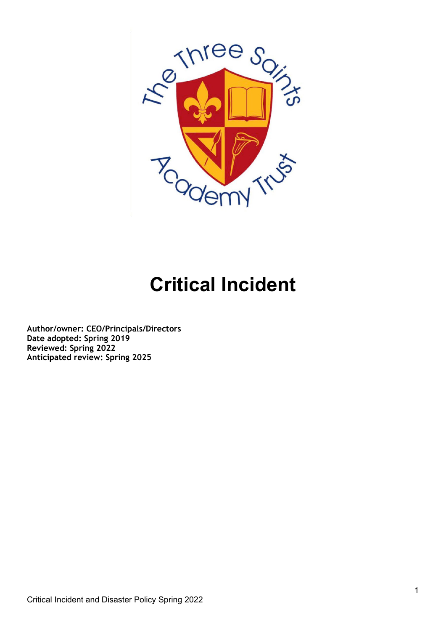

# **Critical Incident**

**Author/owner: CEO/Principals/Directors Date adopted: Spring 2019 Reviewed: Spring 2022 Anticipated review: Spring 2025**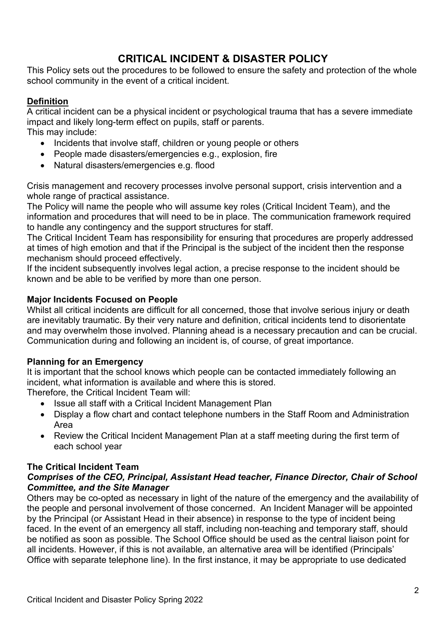## **CRITICAL INCIDENT & DISASTER POLICY**

This Policy sets out the procedures to be followed to ensure the safety and protection of the whole school community in the event of a critical incident.

## **Definition**

A critical incident can be a physical incident or psychological trauma that has a severe immediate impact and likely long-term effect on pupils, staff or parents. This may include:

- Incidents that involve staff, children or young people or others
- People made disasters/emergencies e.g., explosion, fire
- Natural disasters/emergencies e.g. flood

Crisis management and recovery processes involve personal support, crisis intervention and a whole range of practical assistance.

The Policy will name the people who will assume key roles (Critical Incident Team), and the information and procedures that will need to be in place. The communication framework required to handle any contingency and the support structures for staff.

The Critical Incident Team has responsibility for ensuring that procedures are properly addressed at times of high emotion and that if the Principal is the subject of the incident then the response mechanism should proceed effectively.

If the incident subsequently involves legal action, a precise response to the incident should be known and be able to be verified by more than one person.

#### **Major Incidents Focused on People**

Whilst all critical incidents are difficult for all concerned, those that involve serious injury or death are inevitably traumatic. By their very nature and definition, critical incidents tend to disorientate and may overwhelm those involved. Planning ahead is a necessary precaution and can be crucial. Communication during and following an incident is, of course, of great importance.

## **Planning for an Emergency**

It is important that the school knows which people can be contacted immediately following an incident, what information is available and where this is stored.

Therefore, the Critical Incident Team will:

- Issue all staff with a Critical Incident Management Plan
- Display a flow chart and contact telephone numbers in the Staff Room and Administration Area
- Review the Critical Incident Management Plan at a staff meeting during the first term of each school year

## **The Critical Incident Team**

#### *Comprises of the CEO, Principal, Assistant Head teacher, Finance Director, Chair of School Committee, and the Site Manager*

Others may be co-opted as necessary in light of the nature of the emergency and the availability of the people and personal involvement of those concerned. An Incident Manager will be appointed by the Principal (or Assistant Head in their absence) in response to the type of incident being faced. In the event of an emergency all staff, including non-teaching and temporary staff, should be notified as soon as possible. The School Office should be used as the central liaison point for all incidents. However, if this is not available, an alternative area will be identified (Principals' Office with separate telephone line). In the first instance, it may be appropriate to use dedicated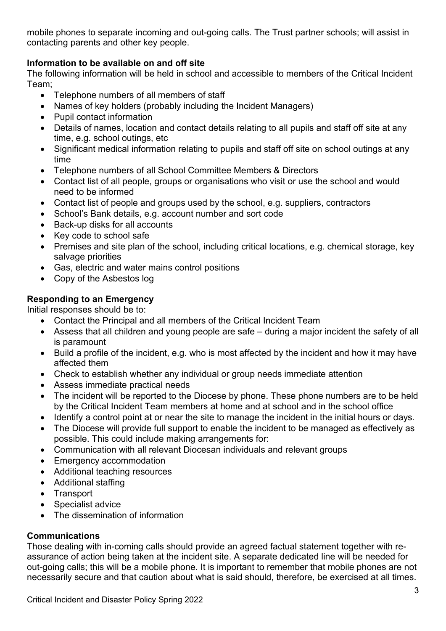mobile phones to separate incoming and out-going calls. The Trust partner schools; will assist in contacting parents and other key people.

## **Information to be available on and off site**

The following information will be held in school and accessible to members of the Critical Incident Team;

- Telephone numbers of all members of staff
- Names of key holders (probably including the Incident Managers)
- Pupil contact information
- Details of names, location and contact details relating to all pupils and staff off site at any time, e.g. school outings, etc
- Significant medical information relating to pupils and staff off site on school outings at any time
- Telephone numbers of all School Committee Members & Directors
- Contact list of all people, groups or organisations who visit or use the school and would need to be informed
- Contact list of people and groups used by the school, e.g. suppliers, contractors
- School's Bank details, e.g. account number and sort code
- Back-up disks for all accounts
- Key code to school safe
- Premises and site plan of the school, including critical locations, e.g. chemical storage, key salvage priorities
- Gas, electric and water mains control positions
- Copy of the Asbestos log

## **Responding to an Emergency**

Initial responses should be to:

- Contact the Principal and all members of the Critical Incident Team
- Assess that all children and young people are safe during a major incident the safety of all is paramount
- Build a profile of the incident, e.g. who is most affected by the incident and how it may have affected them
- Check to establish whether any individual or group needs immediate attention
- Assess immediate practical needs
- The incident will be reported to the Diocese by phone. These phone numbers are to be held by the Critical Incident Team members at home and at school and in the school office
- Identify a control point at or near the site to manage the incident in the initial hours or days.
- The Diocese will provide full support to enable the incident to be managed as effectively as possible. This could include making arrangements for:
- Communication with all relevant Diocesan individuals and relevant groups
- Emergency accommodation
- Additional teaching resources
- Additional staffing
- Transport
- Specialist advice
- The dissemination of information

## **Communications**

Those dealing with in-coming calls should provide an agreed factual statement together with reassurance of action being taken at the incident site. A separate dedicated line will be needed for out-going calls; this will be a mobile phone. It is important to remember that mobile phones are not necessarily secure and that caution about what is said should, therefore, be exercised at all times.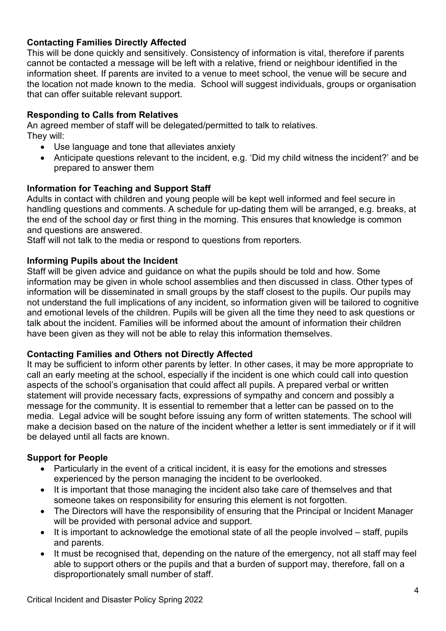#### **Contacting Families Directly Affected**

This will be done quickly and sensitively. Consistency of information is vital, therefore if parents cannot be contacted a message will be left with a relative, friend or neighbour identified in the information sheet. If parents are invited to a venue to meet school, the venue will be secure and the location not made known to the media. School will suggest individuals, groups or organisation that can offer suitable relevant support.

#### **Responding to Calls from Relatives**

An agreed member of staff will be delegated/permitted to talk to relatives. They will:

- Use language and tone that alleviates anxiety
- Anticipate questions relevant to the incident, e.g. 'Did my child witness the incident?' and be prepared to answer them

#### **Information for Teaching and Support Staff**

Adults in contact with children and young people will be kept well informed and feel secure in handling questions and comments. A schedule for up-dating them will be arranged, e.g. breaks, at the end of the school day or first thing in the morning. This ensures that knowledge is common and questions are answered.

Staff will not talk to the media or respond to questions from reporters.

#### **Informing Pupils about the Incident**

Staff will be given advice and guidance on what the pupils should be told and how. Some information may be given in whole school assemblies and then discussed in class. Other types of information will be disseminated in small groups by the staff closest to the pupils. Our pupils may not understand the full implications of any incident, so information given will be tailored to cognitive and emotional levels of the children. Pupils will be given all the time they need to ask questions or talk about the incident. Families will be informed about the amount of information their children have been given as they will not be able to relay this information themselves.

#### **Contacting Families and Others not Directly Affected**

It may be sufficient to inform other parents by letter. In other cases, it may be more appropriate to call an early meeting at the school, especially if the incident is one which could call into question aspects of the school's organisation that could affect all pupils. A prepared verbal or written statement will provide necessary facts, expressions of sympathy and concern and possibly a message for the community. It is essential to remember that a letter can be passed on to the media. Legal advice will be sought before issuing any form of written statements. The school will make a decision based on the nature of the incident whether a letter is sent immediately or if it will be delayed until all facts are known.

#### **Support for People**

- Particularly in the event of a critical incident, it is easy for the emotions and stresses experienced by the person managing the incident to be overlooked.
- It is important that those managing the incident also take care of themselves and that someone takes on responsibility for ensuring this element is not forgotten.
- The Directors will have the responsibility of ensuring that the Principal or Incident Manager will be provided with personal advice and support.
- It is important to acknowledge the emotional state of all the people involved staff, pupils and parents.
- It must be recognised that, depending on the nature of the emergency, not all staff may feel able to support others or the pupils and that a burden of support may, therefore, fall on a disproportionately small number of staff.